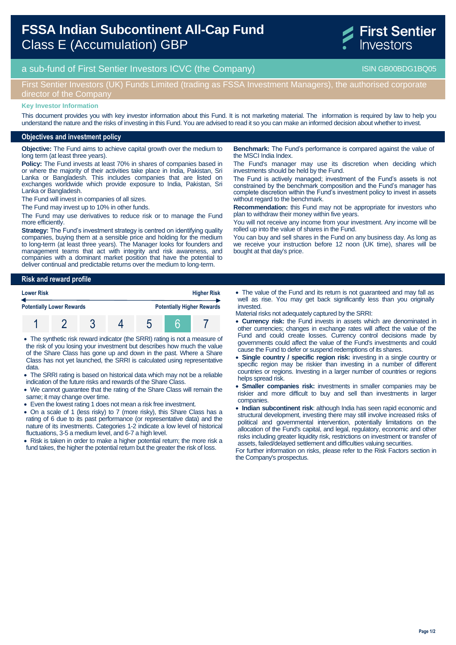# **FSSA Indian Subcontinent All-Cap Fund**  Class E (Accumulation) GBP



a sub-fund of First Sentier Investors ICVC (the Company) and the Company ISIN GB00BDG1BQ05

## First Sentier Investors (UK) Funds Limited (trading as FSSA Investment Managers), the authorised corporate director of the Company

#### **Key Investor Information**

This document provides you with key investor information about this Fund. It is not marketing material. The information is required by law to help you understand the nature and the risks of investing in this Fund. You are advised to read it so you can make an informed decision about whether to invest.

### **Objectives and investment policy**

**Objective:** The Fund aims to achieve capital growth over the medium to long term (at least three years).

**Policy:** The Fund invests at least 70% in shares of companies based in or where the majority of their activities take place in India, Pakistan, Sri Lanka or Bangladesh. This includes companies that are listed on exchanges worldwide which provide exposure to India, Pakistan, Sri Lanka or Bangladesh.

The Fund will invest in companies of all sizes.

The Fund may invest up to 10% in other funds.

The Fund may use derivatives to reduce risk or to manage the Fund more efficiently.

**Strategy:** The Fund's investment strategy is centred on identifying quality companies, buying them at a sensible price and holding for the medium to long-term (at least three years). The Manager looks for founders and management teams that act with integrity and risk awareness, and companies with a dominant market position that have the potential to deliver continual and predictable returns over the medium to long-term.

## **Risk and reward profile Lower Risk Higher Risk**



 The synthetic risk reward indicator (the SRRI) rating is not a measure of the risk of you losing your investment but describes how much the value of the Share Class has gone up and down in the past. Where a Share Class has not yet launched, the SRRI is calculated using representative data.

 The SRRI rating is based on historical data which may not be a reliable indication of the future risks and rewards of the Share Class.

 We cannot guarantee that the rating of the Share Class will remain the same; it may change over time.

Even the lowest rating 1 does not mean a risk free investment.

 On a scale of 1 (less risky) to 7 (more risky), this Share Class has a rating of 6 due to its past performance (or representative data) and the nature of its investments. Categories 1-2 indicate a low level of historical fluctuations, 3-5 a medium level, and 6-7 a high level.

• Risk is taken in order to make a higher potential return; the more risk a fund takes, the higher the potential return but the greater the risk of loss.

**Benchmark:** The Fund's performance is compared against the value of the MSCI India Index.

The Fund's manager may use its discretion when deciding which investments should be held by the Fund.

The Fund is actively managed; investment of the Fund's assets is not constrained by the benchmark composition and the Fund's manager has complete discretion within the Fund's investment policy to invest in assets without regard to the benchmark.

**Recommendation:** this Fund may not be appropriate for investors who plan to withdraw their money within five years.

You will not receive any income from your investment. Any income will be rolled up into the value of shares in the Fund.

You can buy and sell shares in the Fund on any business day. As long as we receive your instruction before 12 noon (UK time), shares will be bought at that day's price.

 The value of the Fund and its return is not guaranteed and may fall as well as rise. You may get back significantly less than you originally invested.

Material risks not adequately captured by the SRRI:

- **Currency risk:** the Fund invests in assets which are denominated in other currencies; changes in exchange rates will affect the value of the Fund and could create losses. Currency control decisions made by governments could affect the value of the Fund's investments and could cause the Fund to defer or suspend redemptions of its shares.
- **Single country / specific region risk:** investing in a single country or specific region may be riskier than investing in a number of different countries or regions. Investing in a larger number of countries or regions helps spread risk.
- **Smaller companies risk:** investments in smaller companies may be riskier and more difficult to buy and sell than investments in larger companies.

 **Indian subcontinent risk**: although India has seen rapid economic and structural development, investing there may still involve increased risks of political and governmental intervention, potentially limitations on the allocation of the Fund's capital, and legal, regulatory, economic and other risks including greater liquidity risk, restrictions on investment or transfer of assets, failed/delayed settlement and difficulties valuing securities.

For further information on risks, please refer to the Risk Factors section in the Company's prospectus.